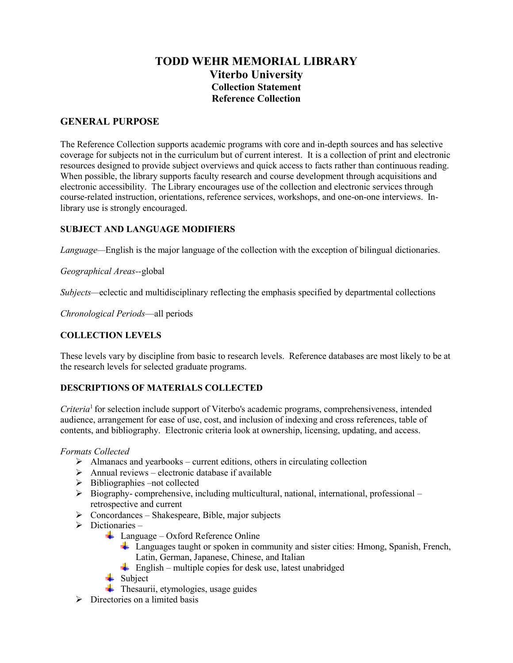# **TODD WEHR MEMORIAL LIBRARY Viterbo University Collection Statement Reference Collection**

## **GENERAL PURPOSE**

The Reference Collection supports academic programs with core and in-depth sources and has selective coverage for subjects not in the curriculum but of current interest. It is a collection of print and electronic resources designed to provide subject overviews and quick access to facts rather than continuous reading. When possible, the library supports faculty research and course development through acquisitions and electronic accessibility. The Library encourages use of the collection and electronic services through course-related instruction, orientations, reference services, workshops, and one-on-one interviews. Inlibrary use is strongly encouraged.

### **SUBJECT AND LANGUAGE MODIFIERS**

*Language—*English is the major language of the collection with the exception of bilingual dictionaries.

*Geographical Areas--*global

*Subjects—*eclectic and multidisciplinary reflecting the emphasis specified by departmental collections

*Chronological Periods*—all periods

#### **COLLECTION LEVELS**

These levels vary by discipline from basic to research levels. Reference databases are most likely to be at the research levels for selected graduate programs.

#### **DESCRIPTIONS OF MATERIALS COLLECTED**

*Criteria*<sup>1</sup> for selection include support of Viterbo's academic programs, comprehensiveness, intended audience, arrangement for ease of use, cost, and inclusion of indexing and cross references, table of contents, and bibliography. Electronic criteria look at ownership, licensing, updating, and access.

#### *Formats Collected*

- $\triangleright$  Almanacs and yearbooks current editions, others in circulating collection
- $\triangleright$  Annual reviews electronic database if available
- $\triangleright$  Bibliographies –not collected
- $\triangleright$  Biography-comprehensive, including multicultural, national, international, professional retrospective and current
- $\triangleright$  Concordances Shakespeare, Bible, major subjects
- $\triangleright$  Dictionaries
	- $\downarrow$  Language Oxford Reference Online
		- Languages taught or spoken in community and sister cities: Hmong, Spanish, French, Latin, German, Japanese, Chinese, and Italian
		- $\frac{1}{\sqrt{2}}$  English multiple copies for desk use, latest unabridged
	- $\leftarrow$  Subject
	- $\overline{\text{F}}$  Thesaurii, etymologies, usage guides
- $\triangleright$  Directories on a limited basis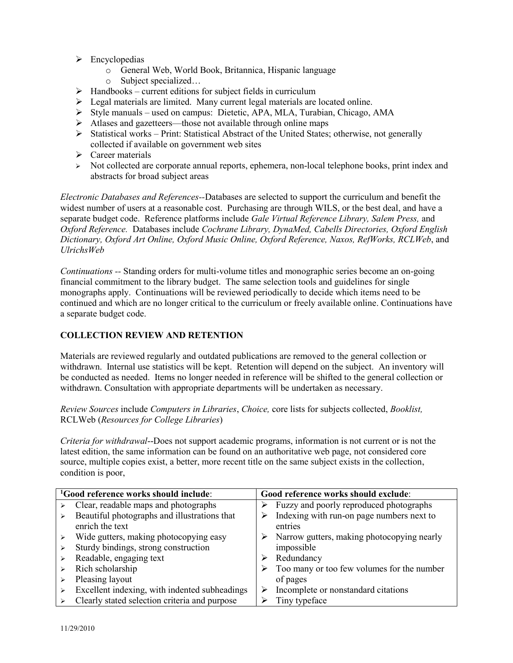- $\triangleright$  Encyclopedias
	- o General Web, World Book, Britannica, Hispanic language
	- o Subject specialized…
- $\triangleright$  Handbooks current editions for subject fields in curriculum
- Legal materials are limited. Many current legal materials are located online.
- Style manuals used on campus: Dietetic, APA, MLA, Turabian, Chicago, AMA
- $\triangleright$  Atlases and gazetteers—those not available through online maps
- $\triangleright$  Statistical works Print: Statistical Abstract of the United States; otherwise, not generally collected if available on government web sites
- $\triangleright$  Career materials
- $\triangleright$  Not collected are corporate annual reports, ephemera, non-local telephone books, print index and abstracts for broad subject areas

*Electronic Databases and References--*Databases are selected to support the curriculum and benefit the widest number of users at a reasonable cost. Purchasing are through WILS, or the best deal, and have a separate budget code. Reference platforms include *Gale Virtual Reference Library, Salem Press,* and *Oxford Reference.* Databases include *Cochrane Library, DynaMed, Cabells Directories, Oxford English Dictionary, Oxford Art Online, Oxford Music Online, Oxford Reference, Naxos, RefWorks, RCLWeb*, and *UlrichsWeb*

*Continuations --* Standing orders for multi-volume titles and monographic series become an on-going financial commitment to the library budget. The same selection tools and guidelines for single monographs apply. Continuations will be reviewed periodically to decide which items need to be continued and which are no longer critical to the curriculum or freely available online. Continuations have a separate budget code.

#### **COLLECTION REVIEW AND RETENTION**

Materials are reviewed regularly and outdated publications are removed to the general collection or withdrawn. Internal use statistics will be kept. Retention will depend on the subject. An inventory will be conducted as needed. Items no longer needed in reference will be shifted to the general collection or withdrawn. Consultation with appropriate departments will be undertaken as necessary.

*Review Sources* include *Computers in Libraries*, *Choice,* core lists for subjects collected, *Booklist,*  RCLWeb (*Resources for College Libraries*)

*Criteria for withdrawal*--Does not support academic programs, information is not current or is not the latest edition, the same information can be found on an authoritative web page, not considered core source, multiple copies exist, a better, more recent title on the same subject exists in the collection, condition is poor,

| <sup>1</sup> Good reference works should include: |                                               | Good reference works should exclude: |                                            |
|---------------------------------------------------|-----------------------------------------------|--------------------------------------|--------------------------------------------|
|                                                   | Clear, readable maps and photographs          |                                      | Fuzzy and poorly reproduced photographs    |
|                                                   | Beautiful photographs and illustrations that  |                                      | Indexing with run-on page numbers next to  |
|                                                   | enrich the text                               |                                      | entries                                    |
|                                                   | Wide gutters, making photocopying easy        |                                      | Narrow gutters, making photocopying nearly |
|                                                   | Sturdy bindings, strong construction          |                                      | impossible                                 |
|                                                   | Readable, engaging text                       |                                      | Redundancy                                 |
|                                                   | Rich scholarship                              |                                      | Too many or too few volumes for the number |
|                                                   | Pleasing layout                               |                                      | of pages                                   |
|                                                   | Excellent indexing, with indented subheadings |                                      | Incomplete or nonstandard citations        |
|                                                   | Clearly stated selection criteria and purpose |                                      | Tiny typeface                              |